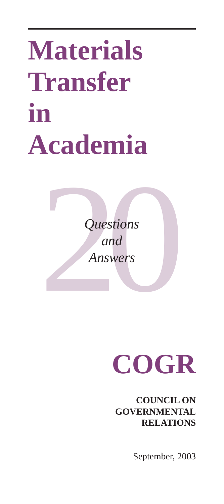# **Materials Transfer in Academia**

Questions<br>and<br>Answers *Questions and Answers*

## **COGR**

**COUNCIL ON GOVERNMENTAL RELATIONS**

September, 2003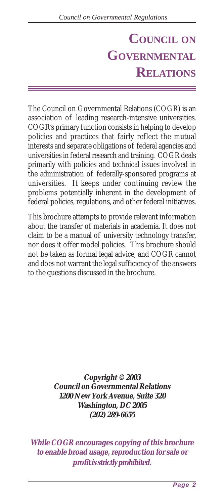#### **COUNCIL ON GOVERNMENTAL RELATIONS**

The Council on Governmental Relations (COGR) is an association of leading research-intensive universities. COGR's primary function consists in helping to develop policies and practices that fairly reflect the mutual interests and separate obligations of federal agencies and universities in federal research and training. COGR deals primarily with policies and technical issues involved in the administration of federally-sponsored programs at universities. It keeps under continuing review the problems potentially inherent in the development of federal policies, regulations, and other federal initiatives.

This brochure attempts to provide relevant information about the transfer of materials in academia. It does not claim to be a manual of university technology transfer, nor does it offer model policies. This brochure should not be taken as formal legal advice, and COGR cannot and does not warrant the legal sufficiency of the answers to the questions discussed in the brochure.

> **Copyright © 2003 Council on Governmental Relations 1200 New York Avenue, Suite 320 Washington, DC 2005 (202) 289-6655**

**While COGR encourages copying of this brochure to enable broad usage, reproduction for sale or profit is strictly prohibited.**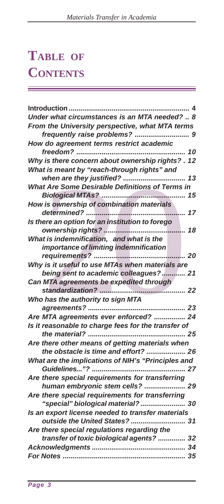a sa mga bansang pag-agang nagsa sa pag-agang nagsa sa pag-agang nagsa sa pag-agang nagsa sa pag-agang nagsa s

## **TABLE OF CONTENTS**

| <b>Introduction</b>                                 |
|-----------------------------------------------------|
| Under what circumstances is an MTA needed?  8       |
| From the University perspective, what MTA terms     |
| frequently raise problems?  9                       |
| How do agreement terms restrict academic            |
|                                                     |
| Why is there concern about ownership rights?. 12    |
| What is meant by "reach-through rights" and         |
| when are they justified?  13                        |
| What Are Some Desirable Definitions of Terms in     |
|                                                     |
| How is ownership of combination materials           |
| 17                                                  |
| Is there an option for an institution to forego     |
|                                                     |
| What is indemnification, and what is the            |
| importance of limiting indemnification              |
|                                                     |
| Why is it useful to use MTAs when materials are     |
| being sent to academic colleagues? 21               |
| Can MTA agreements be expedited through             |
|                                                     |
| Who has the authority to sign MTA                   |
|                                                     |
| Are MTA agreements ever enforced?  24               |
| Is it reasonable to charge fees for the transfer of |
|                                                     |
| Are there other means of getting materials when     |
| the obstacle is time and effort?  26                |
| What are the implications of NIH's "Principles and  |
|                                                     |
| Are there special requirements for transferring     |
| human embryonic stem cells?  29                     |
| Are there special requirements for transferring     |
| "special" biological material? 30                   |
| Is an export license needed to transfer materials   |
| outside the United States?  31                      |
| Are there special regulations regarding the         |
| transfer of toxic biological agents?  32            |
|                                                     |
|                                                     |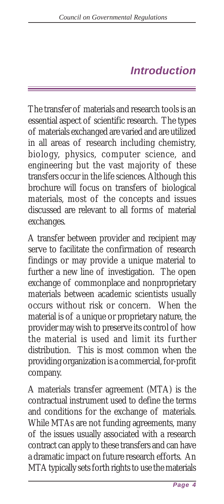#### *Introduction*

<span id="page-3-0"></span>The transfer of materials and research tools is an essential aspect of scientific research. The types of materials exchanged are varied and are utilized in all areas of research including chemistry, biology, physics, computer science, and engineering but the vast majority of these transfers occur in the life sciences. Although this brochure will focus on transfers of biological materials, most of the concepts and issues discussed are relevant to all forms of material exchanges.

A transfer between provider and recipient may serve to facilitate the confirmation of research findings or may provide a unique material to further a new line of investigation. The open exchange of commonplace and nonproprietary materials between academic scientists usually occurs without risk or concern. When the material is of a unique or proprietary nature, the provider may wish to preserve its control of how the material is used and limit its further distribution. This is most common when the providing organization is a commercial, for-profit company.

A materials transfer agreement (MTA) is the contractual instrument used to define the terms and conditions for the exchange of materials. While MTAs are not funding agreements, many of the issues usually associated with a research contract can apply to these transfers and can have a dramatic impact on future research efforts. An MTA typically sets forth rights to use the materials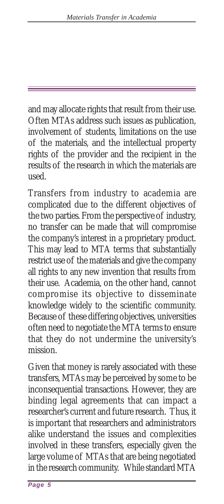and may allocate rights that result from their use. Often MTAs address such issues as publication, involvement of students, limitations on the use of the materials, and the intellectual property rights of the provider and the recipient in the results of the research in which the materials are used.

Transfers from industry to academia are complicated due to the different objectives of the two parties. From the perspective of industry, no transfer can be made that will compromise the company's interest in a proprietary product. This may lead to MTA terms that substantially restrict use of the materials and give the company all rights to any new invention that results from their use. Academia, on the other hand, cannot compromise its objective to disseminate knowledge widely to the scientific community. Because of these differing objectives, universities often need to negotiate the MTA terms to ensure that they do not undermine the university's mission.

Given that money is rarely associated with these transfers, MTAs may be perceived by some to be inconsequential transactions. However, they are binding legal agreements that can impact a researcher's current and future research. Thus, it is important that researchers and administrators alike understand the issues and complexities involved in these transfers, especially given the large volume of MTAs that are being negotiated in the research community. While standard MTA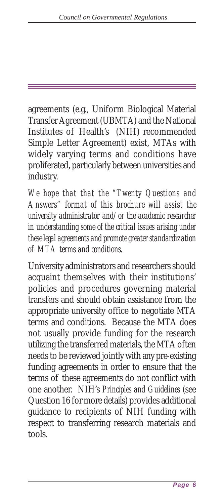agreements (e.g., Uniform Biological Material Transfer Agreement (UBMTA) and the National Institutes of Health's (NIH) recommended Simple Letter Agreement) exist, MTAs with widely varying terms and conditions have proliferated, particularly between universities and industry.

*We hope that that the "Twenty Questions and Answers" format of this brochure will assist the university administrator and/or the academic researcher in understanding some of the critical issues arising under these legal agreements and promote greater standardization of MTA terms and conditions.*

University administrators and researchers should acquaint themselves with their institutions' policies and procedures governing material transfers and should obtain assistance from the appropriate university office to negotiate MTA terms and conditions. Because the MTA does not usually provide funding for the research utilizing the transferred materials, the MTA often needs to be reviewed jointly with any pre-existing funding agreements in order to ensure that the terms of these agreements do not conflict with one another. NIH's *Principles and Guidelines* (see Question 16 for more details) provides additional guidance to recipients of NIH funding with respect to transferring research materials and tools.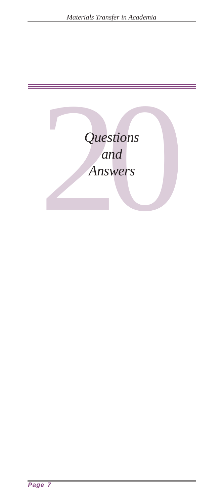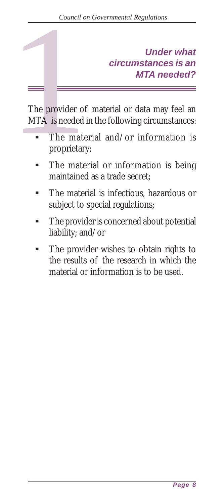## *circumstances is an MTA needed?*

<span id="page-7-0"></span>Council on Governmental Regulations<br> **Under what**<br> **Circumstances is an<br>
MTA needed?<br>
<br>
The provider of material or data may feel an<br>
MTA is needed in the following circumstances:<br>
<br>
The material and/or information is<br>
pro** The provider of material or data may feel an MTA is needed in the following circumstances:

- The material and/or information is proprietary;
- The material or information is being maintained as a trade secret;
- ! The material is infectious, hazardous or subject to special regulations;
- ! The provider is concerned about potential liability; and/or
- ! The provider wishes to obtain rights to the results of the research in which the material or information is to be used.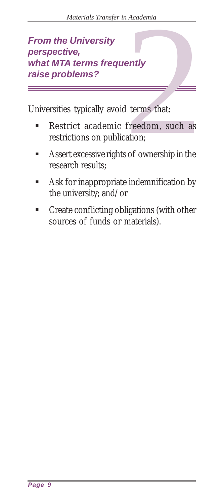# <span id="page-8-0"></span>Materials Transfer in Academia<br> **From the University**<br> **Perspective,**<br>
what MTA terms frequently<br>
raise problems?<br>
Universities typically avoid terms that:<br>
• Restrict academic freedom, such as<br>
restrictions on publication *perspective, what MTA terms frequently raise problems?*

Universities typically avoid terms that:

- Restrict academic freedom, such as restrictions on publication;
- ! Assert excessive rights of ownership in the research results;
- Ask for inappropriate indemnification by the university; and/or
- ! Create conflicting obligations (with other sources of funds or materials).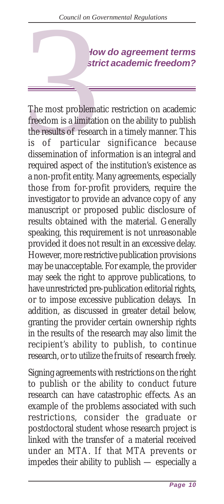*How do agreement terms*

<span id="page-9-0"></span>*Council on Governmental Regulations*<br> *restrict academic freedom?*<br> **restrict academic freedom?**<br> **restrict academic freedom?**<br> **restrict academic freedom?**<br> **restrict academic freedom?**<br> **restrict academic freedom?**<br> The most problematic restriction on academic freedom is a limitation on the ability to publish the results of research in a timely manner. This is of particular significance because dissemination of information is an integral and required aspect of the institution's existence as a non-profit entity. Many agreements, especially those from for-profit providers, require the investigator to provide an advance copy of any manuscript or proposed public disclosure of results obtained with the material. Generally speaking, this requirement is not unreasonable provided it does not result in an excessive delay. However, more restrictive publication provisions may be unacceptable. For example, the provider may seek the right to approve publications, to have unrestricted pre-publication editorial rights, or to impose excessive publication delays. In addition, as discussed in greater detail below, granting the provider certain ownership rights in the results of the research may also limit the recipient's ability to publish, to continue research, or to utilize the fruits of research freely.

Signing agreements with restrictions on the right to publish or the ability to conduct future research can have catastrophic effects. As an example of the problems associated with such restrictions, consider the graduate or postdoctoral student whose research project is linked with the transfer of a material received under an MTA. If that MTA prevents or impedes their ability to publish — especially a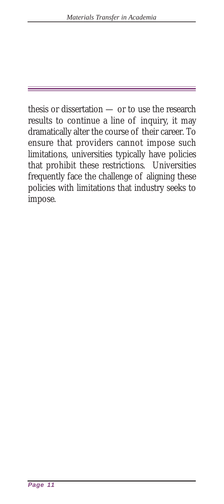thesis or dissertation — or to use the research results to continue a line of inquiry, it may dramatically alter the course of their career. To ensure that providers cannot impose such limitations, universities typically have policies that prohibit these restrictions. Universities frequently face the challenge of aligning these policies with limitations that industry seeks to impose.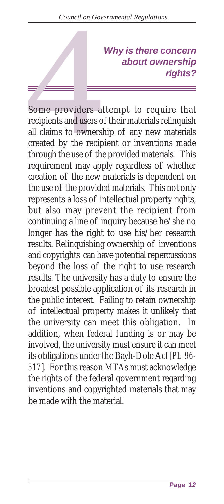## *Why is there concern about ownership*

<span id="page-11-0"></span>*Council on Governmental Regulations*<br> *Why is there concern<br>
about ownership*<br> *rights?*<br> **5Some providers attempt to require that**<br>
recipients and users of their materials relinquish<br>
all claims to ownership of any new recipients and users of their materials relinquish all claims to ownership of any new materials created by the recipient or inventions made through the use of the provided materials. This requirement may apply regardless of whether creation of the new materials is dependent on the use of the provided materials. This not only represents a loss of intellectual property rights, but also may prevent the recipient from continuing a line of inquiry because he/she no longer has the right to use his/her research results. Relinquishing ownership of inventions and copyrights can have potential repercussions beyond the loss of the right to use research results. The university has a duty to ensure the broadest possible application of its research in the public interest. Failing to retain ownership of intellectual property makes it unlikely that the university can meet this obligation. In addition, when federal funding is or may be involved, the university must ensure it can meet its obligations under the Bayh-Dole Act [*PL 96- 517*]. For this reason MTAs must acknowledge the rights of the federal government regarding inventions and copyrighted materials that may be made with the material.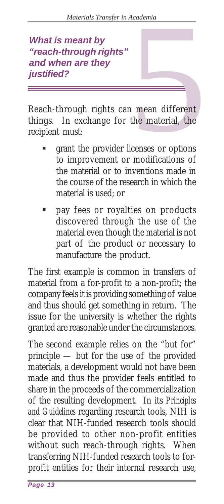#### *What is meant by "reach-through rights" and when are they justified?*

<span id="page-12-0"></span>Reach-through rights can mean different things. In exchange for the material, the recipient must: Academia<br>
1 mean different<br>
1 mean different<br>
the material, the<br>
icenses or options<br>
modifications of

- ! grant the provider licenses or options to improvement or modifications of the material or to inventions made in the course of the research in which the material is used; or
- pay fees or royalties on products discovered through the use of the material even though the material is not part of the product or necessary to manufacture the product.

The first example is common in transfers of material from a for-profit to a non-profit; the company feels it is providing something of value and thus should get something in return. The issue for the university is whether the rights granted are reasonable under the circumstances.

The second example relies on the "but for" principle — but for the use of the provided materials, a development would not have been made and thus the provider feels entitled to share in the proceeds of the commercialization of the resulting development. In its *Principles and Guidelines* regarding research tools, NIH is clear that NIH-funded research tools should be provided to other non-profit entities without such reach-through rights. When transferring NIH-funded research tools to forprofit entities for their internal research use,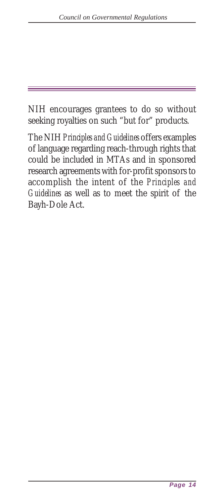NIH encourages grantees to do so without seeking royalties on such "but for" products.

The NIH *Principles and Guidelines* offers examples of language regarding reach-through rights that could be included in MTAs and in sponsored research agreements with for-profit sponsors to accomplish the intent of the *Principles and Guidelines* as well as to meet the spirit of the Bayh-Dole Act.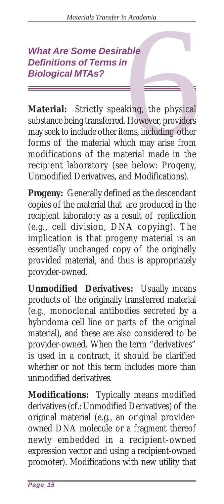## *Definitions of Terms in Biological MTAs?*

<span id="page-14-0"></span>Materials Transfer in Academia<br> **What Are Some Desirable<br>
Definitions of Terms in<br>
Biological MTAs?<br>
Material: Strictly speaking, the physical<br>
substance being transferred. However, providers<br>
may seek to include other ite Material:** Strictly speaking, the physical substance being transferred. However, providers may seek to include other items, including other forms of the material which may arise from modifications of the material made in the recipient laboratory (see below: Progeny, Unmodified Derivatives, and Modifications).

**Progeny:** Generally defined as the descendant copies of the material that are produced in the recipient laboratory as a result of replication (e.g., cell division, DNA copying). The implication is that progeny material is an essentially unchanged copy of the originally provided material, and thus is appropriately provider-owned.

**Unmodified Derivatives:** Usually means products of the originally transferred material (e.g., monoclonal antibodies secreted by a hybridoma cell line or parts of the original material), and these are also considered to be provider-owned. When the term "derivatives" is used in a contract, it should be clarified whether or not this term includes more than unmodified derivatives.

**Modifications:** Typically means modified derivatives (cf.: Unmodified Derivatives) of the original material (e.g., an original providerowned DNA molecule or a fragment thereof newly embedded in a recipient-owned expression vector and using a recipient-owned promoter). Modifications with new utility that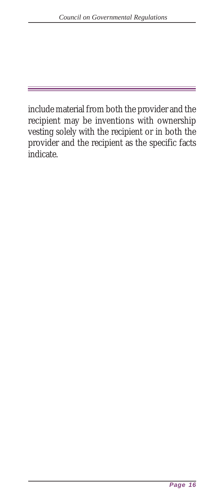include material from both the provider and the recipient may be inventions with ownership vesting solely with the recipient or in both the provider and the recipient as the specific facts indicate.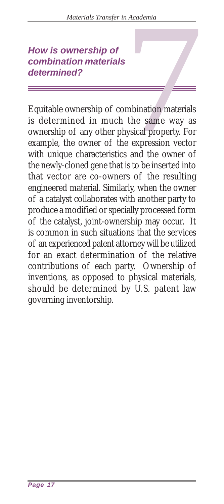## *combination materials determined?*

<span id="page-16-0"></span>Materials Transfer in Academia<br> **How is ownership of**<br> **Combination materials<br>
determined?**<br> **Equitable ownership of combination materials**<br>
is determined in much the same way as<br>
ownership of any other physical property. Equitable ownership of combination materials is determined in much the same way as ownership of any other physical property. For example, the owner of the expression vector with unique characteristics and the owner of the newly-cloned gene that is to be inserted into that vector are co-owners of the resulting engineered material. Similarly, when the owner of a catalyst collaborates with another party to produce a modified or specially processed form of the catalyst, joint-ownership may occur. It is common in such situations that the services of an experienced patent attorney will be utilized for an exact determination of the relative contributions of each party. Ownership of inventions, as opposed to physical materials, should be determined by U.S. patent law governing inventorship.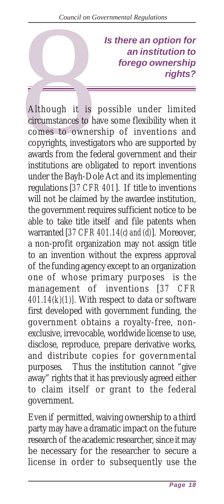*Is there an option for an institution to forego ownership rights?*

<span id="page-17-0"></span>Council on Got<br>
Council on Got<br>
<br>
Although it is<br>
circumstances to ha<br>
comes to owner<br>
copyrights, investig<br>
awards from the fe Although it is possible under limited circumstances to have some flexibility when it comes to ownership of inventions and copyrights, investigators who are supported by awards from the federal government and their institutions are obligated to report inventions under the Bayh-Dole Act and its implementing regulations [*37 CFR 401*]. If title to inventions will not be claimed by the awardee institution, the government requires sufficient notice to be able to take title itself and file patents when warranted [*37 CFR 401.14(c) and (d)*]. Moreover, a non-profit organization may not assign title to an invention without the express approval of the funding agency except to an organization one of whose primary purposes is the management of inventions [*37 CFR 401.14(k)(1)].* With respect to data or software first developed with government funding, the government obtains a royalty-free, nonexclusive, irrevocable, worldwide license to use, disclose, reproduce, prepare derivative works, and distribute copies for governmental purposes. Thus the institution cannot "give away" rights that it has previously agreed either to claim itself or grant to the federal government.

Even if permitted, waiving ownership to a third party may have a dramatic impact on the future research of the academic researcher, since it may be necessary for the researcher to secure a license in order to subsequently use the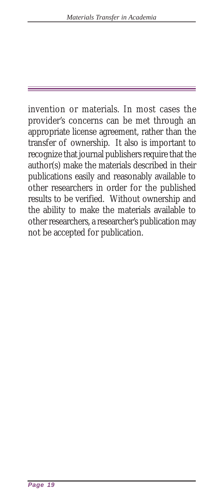invention or materials. In most cases the provider's concerns can be met through an appropriate license agreement, rather than the transfer of ownership. It also is important to recognize that journal publishers require that the author(s) make the materials described in their publications easily and reasonably available to other researchers in order for the published results to be verified. Without ownership and the ability to make the materials available to other researchers, a researcher's publication may not be accepted for publication.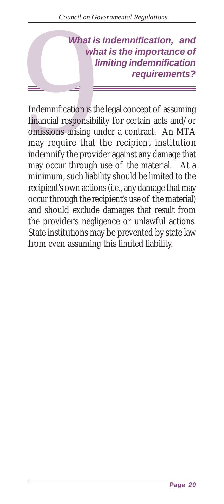#### *What is indemnification, and what is the importance of limiting indemnification requirements?*

<span id="page-19-0"></span>Council on Go<br>
What is<br>
What is<br>
What is<br>
What is<br>
What is<br>
Indemnification is the<br>
Indemnification is the<br>
massions arising un<br>
may require that<br>
indemnify the provident Indemnification is the legal concept of assuming financial responsibility for certain acts and/or omissions arising under a contract. An MTA may require that the recipient institution indemnify the provider against any damage that may occur through use of the material. At a minimum, such liability should be limited to the recipient's own actions (i.e., any damage that may occur through the recipient's use of the material) and should exclude damages that result from the provider's negligence or unlawful actions. State institutions may be prevented by state law from even assuming this limited liability.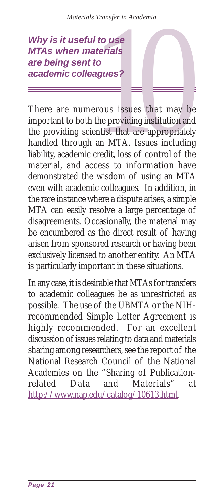*MTAs when materials are being sent to academic colleagues?*

<span id="page-20-0"></span>Why is it useful to use<br>
MTAs when materials<br>
are being sent to<br>
academic colleagues?<br>
<br>
<br>
There are numerous issues that may be<br>
important to both the providing institution and<br>
the providing scientist that are appropriat There are numerous issues that may be important to both the providing institution and the providing scientist that are appropriately handled through an MTA. Issues including liability, academic credit, loss of control of the material, and access to information have demonstrated the wisdom of using an MTA even with academic colleagues. In addition, in the rare instance where a dispute arises, a simple MTA can easily resolve a large percentage of disagreements. Occasionally, the material may be encumbered as the direct result of having arisen from sponsored research or having been exclusively licensed to another entity. An MTA is particularly important in these situations.

In any case, it is desirable that MTAs for transfers to academic colleagues be as unrestricted as possible. The use of the UBMTA or the NIHrecommended Simple Letter Agreement is highly recommended. For an excellent discussion of issues relating to data and materials sharing among researchers, see the report of the National Research Council of the National Academies on the "Sharing of Publicationrelated Data and Materials" at http://www.nap.edu/catalog/10613.html.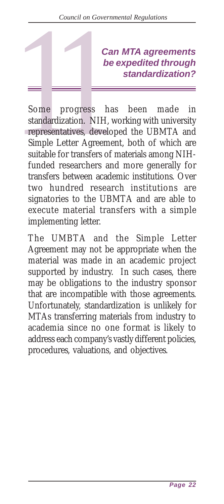#### *be expedited through standardization?*

<span id="page-21-0"></span>**Can MTA agreements**<br> **be expedited through**<br> **standardization?**<br> **Some progress has been made in standardization.**<br> **Some progress has been made in standardization.**<br> **Simple Letter Agreement, both of which are suitable f** Some progress has been made in standardization. NIH, working with university representatives, developed the UBMTA and Simple Letter Agreement, both of which are suitable for transfers of materials among NIHfunded researchers and more generally for transfers between academic institutions. Over two hundred research institutions are signatories to the UBMTA and are able to execute material transfers with a simple implementing letter.

The UMBTA and the Simple Letter Agreement may not be appropriate when the material was made in an academic project supported by industry. In such cases, there may be obligations to the industry sponsor that are incompatible with those agreements. Unfortunately, standardization is unlikely for MTAs transferring materials from industry to academia since no one format is likely to address each company's vastly different policies, procedures, valuations, and objectives.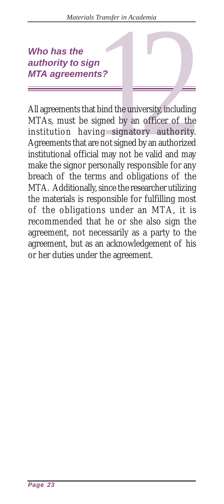## *authority to sign MTA agreements?*

<span id="page-22-0"></span>Who has the<br>
authority to sign<br>
MTA agreements?<br>
<br>
All agreements that bind the university, including<br>
MTAs, must be signed by an officer of the<br>
institution having signatory authority.<br>
Agreements that are not signed by a All agreements that bind the university, including MTAs, must be signed by an officer of the institution having signatory authority. Agreements that are not signed by an authorized institutional official may not be valid and may make the signor personally responsible for any breach of the terms and obligations of the MTA. Additionally, since the researcher utilizing the materials is responsible for fulfilling most of the obligations under an MTA, it is recommended that he or she also sign the agreement, not necessarily as a party to the agreement, but as an acknowledgement of his or her duties under the agreement.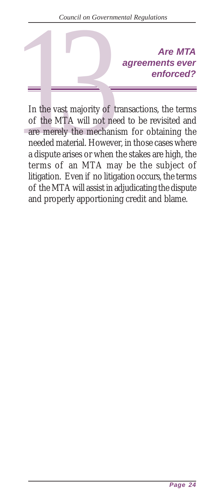## *agreements ever enforced?*

<span id="page-23-0"></span>Are MTA<br>
agreements ever<br>
enforced?<br>
In the vast majority of transactions, the terms<br>
of the MTA will not need to be revisited and<br>
are merely the mechanism for obtaining the<br>
needed material. However, in those cases where In the vast majority of transactions, the terms of the MTA will not need to be revisited and are merely the mechanism for obtaining the needed material. However, in those cases where a dispute arises or when the stakes are high, the terms of an MTA may be the subject of litigation. Even if no litigation occurs, the terms of the MTA will assist in adjudicating the dispute and properly apportioning credit and blame.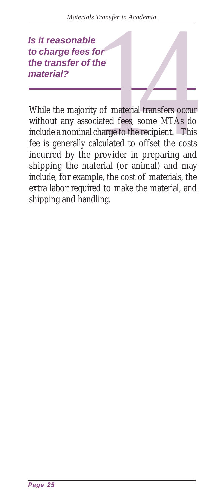*to charge fees for the transfer of the material?*

<span id="page-24-0"></span>14 *Is it reasonable* While the majority of material transfers occur without any associated fees, some MTAs do include a nominal charge to the recipient. This fee is generally calculated to offset the costs incurred by the provider in preparing and shipping the material (or animal) and may include, for example, the cost of materials, the extra labor required to make the material, and shipping and handling.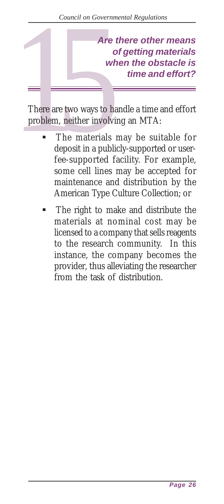<span id="page-25-0"></span>Are there other means<br>
of getting materials<br>
when the obstacle is<br>
time and effort?<br>
There are two ways to handle a time and effort<br>
problem, neither involving an MTA:<br>
The materials may be suitable for<br>
deposit in a publi *of getting materials when the obstacle is time and effort?*

There are two ways to handle a time and effort problem, neither involving an MTA:

- The materials may be suitable for deposit in a publicly-supported or userfee-supported facility. For example, some cell lines may be accepted for maintenance and distribution by the American Type Culture Collection; or
- The right to make and distribute the materials at nominal cost may be licensed to a company that sells reagents to the research community. In this instance, the company becomes the provider, thus alleviating the researcher from the task of distribution.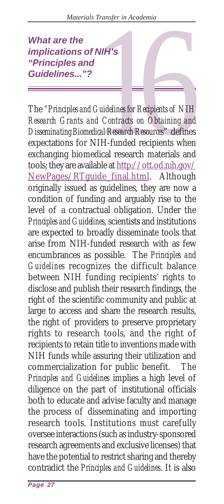#### *implications of NIH's "Principles and Guidelines..."?*

<span id="page-26-0"></span>What are the<br>
implications of NIH's<br>
"Principles and<br>
Guidelines..."?<br>
The "Principles and Guidelines for Recipients of NIH<br>
Research Grants and Contracts on Obtaining and<br>
Disseminating Biomedical Research Resources" defi The *"Principles and Guidelines for Recipients of NIH Research Grants and Contracts on Obtaining and Disseminating Biomedical Research Resources*" defines expectations for NIH-funded recipients when exchanging biomedical research materials and tools; they are available at http://ott.od.nih.gov/ NewPages/RTguide\_final.html. Although originally issued as guidelines, they are now a condition of funding and arguably rise to the level of a contractual obligation. Under the *Principles and Guidelines*, scientists and institutions are expected to broadly disseminate tools that arise from NIH-funded research with as few encumbrances as possible. The *Principles and Guidelines* recognizes the difficult balance between NIH funding recipients' rights to disclose and publish their research findings, the right of the scientific community and public at large to access and share the research results, the right of providers to preserve proprietary rights to research tools, and the right of recipients to retain title to inventions made with NIH funds while assuring their utilization and commercialization for public benefit. The *Principles and Guidelines* implies a high level of diligence on the part of institutional officials both to educate and advise faculty and manage the process of disseminating and importing research tools. Institutions must carefully oversee interactions (such as industry-sponsored research agreements and exclusive licenses) that have the potential to restrict sharing and thereby contradict the *Principles and Guidelines*. It is also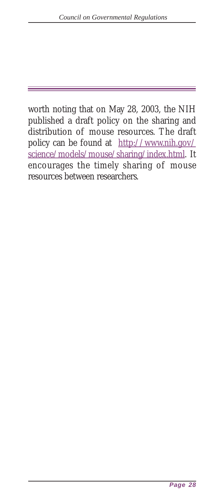worth noting that on May 28, 2003, the NIH published a draft policy on the sharing and distribution of mouse resources. The draft policy can be found at http://www.nih.gov/ science/models/mouse/sharing/index.html. It encourages the timely sharing of mouse resources between researchers.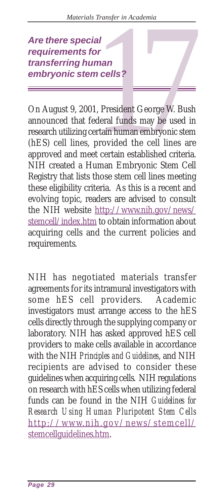*requirements for transferring human embryonic stem cells?*

<span id="page-28-0"></span>Are there special<br>
requirements for<br>
transferring human<br>
embryonic stem cells?<br>
<br>
On August 9, 2001, President George W. Bush<br>
announced that federal funds may be used in<br>
research utilizing certain human embryonic stem<br>
( On August 9, 2001, President George W. Bush announced that federal funds may be used in research utilizing certain human embryonic stem (hES) cell lines, provided the cell lines are approved and meet certain established criteria. NIH created a Human Embryonic Stem Cell Registry that lists those stem cell lines meeting these eligibility criteria. As this is a recent and evolving topic, readers are advised to consult the NIH website http://www.nih.gov/news/ stemcell/index.htm to obtain information about acquiring cells and the current policies and requirements.

NIH has negotiated materials transfer agreements for its intramural investigators with some hES cell providers. Academic investigators must arrange access to the hES cells directly through the supplying company or laboratory. NIH has asked approved hES cell providers to make cells available in accordance with the NIH *Principles and Guidelines*, and NIH recipients are advised to consider these guidelines when acquiring cells. NIH regulations on research with hES cells when utilizing federal funds can be found in the NIH *Guidelines for Research Using Human Pluripotent Stem Cells* http://www.nih.g ov/news/stemcell/ stemcellguidelines.htm.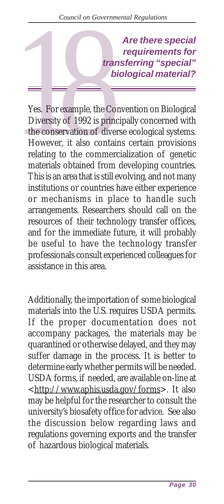*requirements for transferring "special" biological material?*

<span id="page-29-0"></span>Are there special<br>
requirements for<br>
transferring "special"<br>
biological material?<br>
Yes. For example, the Convention on Biological<br>
Diversity of 1992 is principally concerned with<br>
the conservation of diverse ecological sys Yes. For example, the Convention on Biological Diversity of 1992 is principally concerned with the conservation of diverse ecological systems. However, it also contains certain provisions relating to the commercialization of genetic materials obtained from developing countries. This is an area that is still evolving, and not many institutions or countries have either experience or mechanisms in place to handle such arrangements. Researchers should call on the resources of their technology transfer offices, and for the immediate future, it will probably be useful to have the technology transfer professionals consult experienced colleagues for assistance in this area.

Additionally, the importation of some biological materials into the U.S. requires USDA permits. If the proper documentation does not accompany packages, the materials may be quarantined or otherwise delayed, and they may suffer damage in the process. It is better to determine early whether permits will be needed. USDA forms, if needed, are available on-line at <http://www.aphis.usda.gov/forms>. It also may be helpful for the researcher to consult the university's biosafety office for advice. See also the discussion below regarding laws and regulations governing exports and the transfer of hazardous biological materials.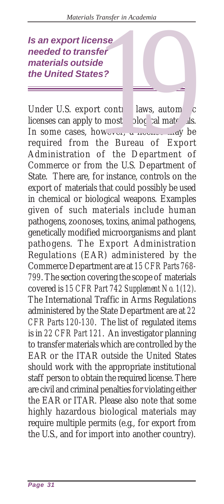#### *needed to transfer materials outside the United States?*

<span id="page-30-0"></span>Under U.S. export cont laws, autor dic licenses can apply to most ological  $m^{\prime}$  rials. In some cases, however,  $u \text{ line}$  may be required from the Bureau of Export Administration of the Department of Commerce or from the U.S. Department of State. There are, for instance, controls on the export of materials that could possibly be used in chemical or biological weapons. Examples given of such materials include human pathogens, zoonoses, toxins, animal pathogens, genetically modified microorganisms and plant pathogens. The Export Administration Regulations (EAR) administered by the Commerce Department are at *15 CFR Parts 768- 799*. The section covering the scope of materials covered is *15 CFR Part 742 Supplement No. 1(12)*. The International Traffic in Arms Regulations administered by the State Department are at *22 CFR Parts 120-130*. The list of regulated items is in *22 CFR Part 121*. An investigator planning to transfer materials which are controlled by the EAR or the ITAR outside the United States should work with the appropriate institutional staff person to obtain the required license. There are civil and criminal penalties for violating either the EAR or ITAR. Please also note that some highly hazardous biological materials may require multiple permits (e.g., for export from the U.S., and for import into another country). **19 an export license**<br> **19 an export license**<br> **19 an export of the United States?**<br> **19 and States?**<br> **19 and States?**<br> **19 and States?**<br> **19 and States?**<br> **19 and States?**<br> **19 and States?**<br> **19 and States?**<br> **19 and St**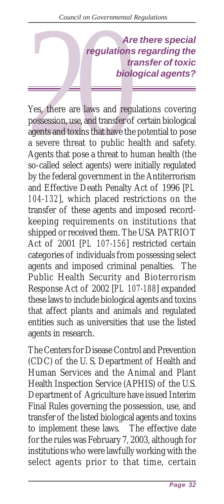*regulations regarding the transfer of toxic biological agents?*

<span id="page-31-0"></span>Are there special<br>
regulations regarding the<br>
transfer of toxic<br>
biological agents?<br>
Yes, there are laws and regulations covering<br>
possession, use, and transfer of certain biological<br>
agents and toxins that have the potent Yes, there are laws and regulations covering possession, use, and transfer of certain biological agents and toxins that have the potential to pose a severe threat to public health and safety. Agents that pose a threat to human health (the so-called select agents) were initially regulated by the federal government in the Antiterrorism and Effective Death Penalty Act of 1996 [*PL 104-132*], which placed restrictions on the transfer of these agents and imposed recordkeeping requirements on institutions that shipped or received them. The USA PATRIOT Act of 2001 [*PL 107-156*] restricted certain categories of individuals from possessing select agents and imposed criminal penalties. The Public Health Security and Bioterrorism Response Act of 2002 [*PL 107-188*] expanded these laws to include biological agents and toxins that affect plants and animals and regulated entities such as universities that use the listed agents in research.

The Centers for Disease Control and Prevention (CDC) of the U. S. Department of Health and Human Services and the Animal and Plant Health Inspection Service (APHIS) of the U.S. Department of Agriculture have issued Interim Final Rules governing the possession, use, and transfer of the listed biological agents and toxins to implement these laws. The effective date for the rules was February 7, 2003, although for institutions who were lawfully working with the select agents prior to that time, certain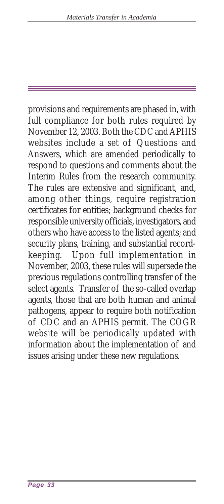provisions and requirements are phased in, with full compliance for both rules required by November 12, 2003. Both the CDC and APHIS websites include a set of Questions and Answers, which are amended periodically to respond to questions and comments about the Interim Rules from the research community. The rules are extensive and significant, and, among other things, require registration certificates for entities; background checks for responsible university officials, investigators, and others who have access to the listed agents; and security plans, training, and substantial recordkeeping. Upon full implementation in November, 2003, these rules will supersede the previous regulations controlling transfer of the select agents. Transfer of the so-called overlap agents, those that are both human and animal pathogens, appear to require both notification of CDC and an APHIS permit. The COGR website will be periodically updated with information about the implementation of and issues arising under these new regulations.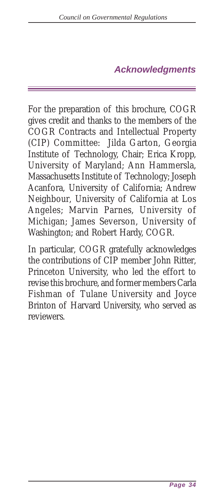#### *Acknowledgments*

<span id="page-33-0"></span>For the preparation of this brochure, COGR gives credit and thanks to the members of the COGR Contracts and Intellectual Property (CIP) Committee: Jilda Garton, Georgia Institute of Technology, Chair; Erica Kropp, University of Maryland; Ann Hammersla, Massachusetts Institute of Technology; Joseph Acanfora, University of California; Andrew Neighbour, University of California at Los Angeles; Marvin Parnes, University of Michigan; James Severson, University of Washington; and Robert Hardy, COGR.

In particular, COGR gratefully acknowledges the contributions of CIP member John Ritter, Princeton University, who led the effort to revise this brochure, and former members Carla Fishman of Tulane University and Joyce Brinton of Harvard University, who served as reviewers.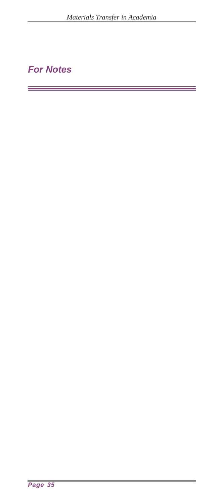<u> 1989 - Johann Stein, marwolaethau a bhann an t-Amhain an t-Amhain an t-Amhain an t-Amhain an t-Amhain an t-A</u>

#### <span id="page-34-0"></span>*For Notes*